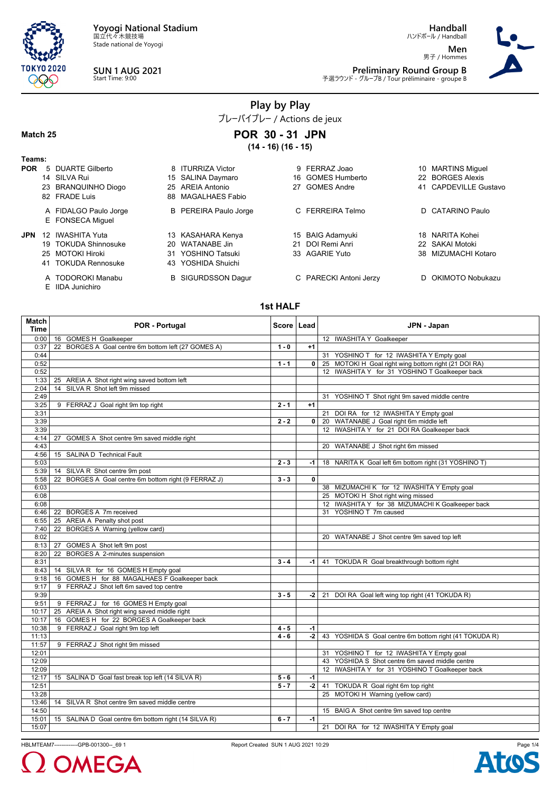

Stade national de Yoyogi



E IIDA Junichiro

**SUN 1 AUG 2021** Start Time: 9:00

**Handball**

ハンドボール / Handball **Men** 男子 / Hommes



**Preliminary Round Group B**<br>予選ラウンド - グループB / Tour préliminaire - groupe B

**Play by Play**

プレーバイプレー / Actions de jeux

### **Match 25**

**POR 30 - 31 JPN (14 - 16) (16 - 15)**

| Teams:     |    |                       |                              |    |                        |                       |
|------------|----|-----------------------|------------------------------|----|------------------------|-----------------------|
| <b>POR</b> |    | 5 DUARTE Gilberto     | 8 ITURRIZA Victor            | 9  | FERRAZ Joao            | 10 MARTINS Miguel     |
|            |    | 14 SILVA Rui          | 15 SALINA Daymaro            |    | 16 GOMES Humberto      | 22 BORGES Alexis      |
|            |    | 23 BRANQUINHO Diogo   | 25 AREIA Antonio             | 27 | <b>GOMES Andre</b>     | 41 CAPDEVILLE Gustavo |
|            |    | 82 FRADE Luis         | 88 MAGALHAES Fabio           |    |                        |                       |
|            |    | A FIDALGO Paulo Jorge | <b>B</b> PEREIRA Paulo Jorge |    | C FERREIRA Telmo       | D CATARINO Paulo      |
|            |    | E FONSECA Miquel      |                              |    |                        |                       |
| <b>JPN</b> | 12 | <b>IWASHITA Yuta</b>  | 13 KASAHARA Kenya            |    | 15 BAIG Adamyuki       | 18 NARITA Kohei       |
|            |    | 19 TOKUDA Shinnosuke  | 20 WATANABE Jin              | 21 | DOI Remi Anri          | 22 SAKAI Motoki       |
|            |    | 25 MOTOKI Hiroki      | 31 YOSHINO Tatsuki           |    | 33 AGARIE Yuto         | 38 MIZUMACHI Kotaro   |
|            |    | 41 TOKUDA Rennosuke   | 43 YOSHIDA Shuichi           |    |                        |                       |
|            |    | A TODOROKI Manabu     | <b>B</b> SIGURDSSON Dagur    |    | C PARECKI Antoni Jerzy | D OKIMOTO Nobukazu    |

**1st HALF**

| Match<br><b>Time</b> | <b>POR - Portugal</b>                                | Score   Lead |              | JPN - Japan                                                              |
|----------------------|------------------------------------------------------|--------------|--------------|--------------------------------------------------------------------------|
| 0:00                 | 16 GOMES H Goalkeeper                                |              |              | 12 IWASHITA Y Goalkeeper                                                 |
| 0:37                 | 22 BORGES A Goal centre 6m bottom left (27 GOMES A)  | $1 - 0$      | $+1$         |                                                                          |
| 0:44                 |                                                      |              |              | 31 YOSHINO T for 12 IWASHITA Y Empty goal                                |
| 0:52                 |                                                      | $1 - 1$      | 0            | 25 MOTOKI H Goal right wing bottom right (21 DOI RA)                     |
| 0:52                 |                                                      |              |              | 12 IWASHITA Y for 31 YOSHINO T Goalkeeper back                           |
| 1:33                 | 25 AREIA A Shot right wing saved bottom left         |              |              |                                                                          |
| 2:04                 | SILVA R Shot left 9m missed<br>14                    |              |              |                                                                          |
| 2:49                 |                                                      |              |              | 31 YOSHINO T Shot right 9m saved middle centre                           |
| 3:25                 | 9 FERRAZ J Goal right 9m top right                   | $2 - 1$      | $+1$         |                                                                          |
| 3:31                 |                                                      |              |              | 21 DOI RA for 12 IWASHITA Y Empty goal                                   |
| 3:39                 |                                                      | $2 - 2$      | $\mathbf{0}$ | 20 WATANABE J Goal right 6m middle left                                  |
| 3:39                 |                                                      |              |              | 12 IWASHITA Y for 21 DOI RA Goalkeeper back                              |
| 4:14                 | GOMES A Shot centre 9m saved middle right<br>27      |              |              |                                                                          |
| 4:43                 |                                                      |              |              | 20 WATANABE J Shot right 6m missed                                       |
| 4:56                 | 15 SALINA D Technical Fault                          |              |              |                                                                          |
| 5:03                 |                                                      | $2 - 3$      | -1           | 18 NARITA K Goal left 6m bottom right (31 YOSHINO T)                     |
| 5:39                 | 14 SILVA R Shot centre 9m post                       |              |              |                                                                          |
| 5:58                 | 22 BORGES A Goal centre 6m bottom right (9 FERRAZ J) | $3 - 3$      | $\mathbf 0$  |                                                                          |
| 6:03                 |                                                      |              |              | 38 MIZUMACHI K for 12 IWASHITA Y Empty goal                              |
| 6:08                 |                                                      |              |              | 25 MOTOKI H Shot right wing missed                                       |
| 6:08                 |                                                      |              |              | 12 IWASHITA Y for 38 MIZUMACHI K Goalkeeper back                         |
| 6:46                 | 22 BORGES A 7m received                              |              |              | 31 YOSHINO T 7m caused                                                   |
| 6:55                 | 25 AREIA A Penalty shot post                         |              |              |                                                                          |
| 7:40                 | 22 BORGES A Warning (yellow card)                    |              |              |                                                                          |
| 8:02                 |                                                      |              |              | 20 WATANABE J Shot centre 9m saved top left                              |
| 8:13                 | 27 GOMES A Shot left 9m post                         |              |              |                                                                          |
| 8:20                 | 22 BORGES A 2-minutes suspension                     |              |              |                                                                          |
| 8:31                 |                                                      | $3 - 4$      | $-1$         | 41 TOKUDA R Goal breakthrough bottom right                               |
| 8:43                 | 14 SILVA R for 16 GOMES H Empty goal                 |              |              |                                                                          |
| 9:18                 | 16 GOMES H for 88 MAGALHAES F Goalkeeper back        |              |              |                                                                          |
| 9:17                 | 9 FERRAZ J Shot left 6m saved top centre             |              |              |                                                                          |
| 9:39                 |                                                      | $3 - 5$      | -2           | 21 DOI RA Goal left wing top right (41 TOKUDA R)                         |
| 9:51                 | 9 FERRAZ J for 16 GOMES H Empty goal                 |              |              |                                                                          |
| 10:17                | 25 AREIA A Shot right wing saved middle right        |              |              |                                                                          |
| 10:17                | 16 GOMES H for 22 BORGES A Goalkeeper back           |              |              |                                                                          |
| 10:38                | 9 FERRAZ J Goal right 9m top left                    | $4 - 5$      | $-1$         |                                                                          |
| 11:13                |                                                      | $4 - 6$      | -2           | 43 YOSHIDA S Goal centre 6m bottom right (41 TOKUDA R)                   |
| 11:57                | 9 FERRAZ J Shot right 9m missed                      |              |              |                                                                          |
| 12:01                |                                                      |              |              | 31 YOSHINO T for 12 IWASHITA Y Empty goal                                |
| 12:09                |                                                      |              |              | 43 YOSHIDA S Shot centre 6m saved middle centre                          |
|                      |                                                      |              |              | 12 IWASHITA Y for 31 YOSHINO T Goalkeeper back                           |
| 12:09                |                                                      |              |              |                                                                          |
| 12:17                | 15 SALINA D Goal fast break top left (14 SILVA R)    | $5 - 6$      | -1           |                                                                          |
| 12:51<br>13:28       |                                                      | $5 - 7$      | $-2$         | 41 TOKUDA R Goal right 6m top right<br>25 MOTOKI H Warning (yellow card) |
|                      |                                                      |              |              |                                                                          |
| 13:46                | 14 SILVA R Shot centre 9m saved middle centre        |              |              |                                                                          |
| 14:50                |                                                      |              |              | 15 BAIG A Shot centre 9m saved top centre                                |
| 15:01                | 15 SALINA D Goal centre 6m bottom right (14 SILVA R) | $6 - 7$      | $-1$         |                                                                          |
| 15:07                |                                                      |              |              | 21 DOI RA for 12 IWASHITA Y Empty goal                                   |

HBLMTEAM7-------------GPB-001300--\_69 1 Report Created SUN 1 AUG 2021 10:29

OMEGA

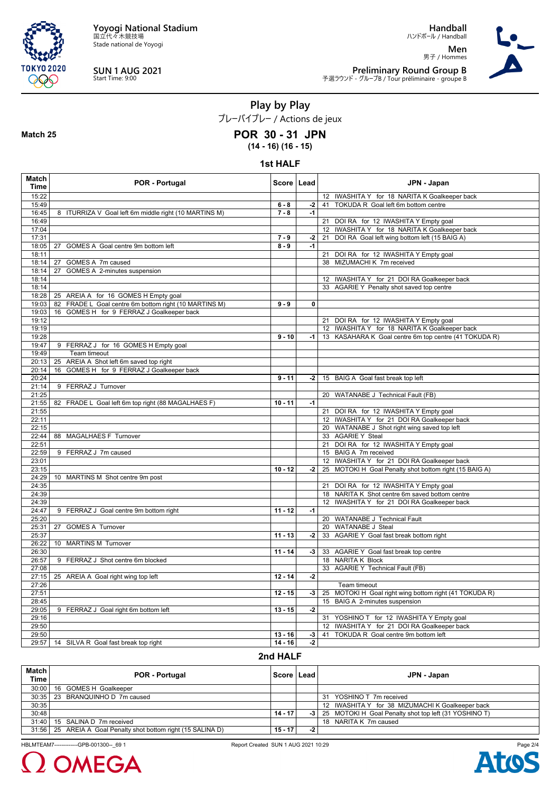

Stade national de Yoyogi



**Match 25**

# **SUN 1 AUG 2021** Start Time: 9:00

**Handball**

ハンドボール / Handball **Men** 男子 / Hommes



**Preliminary Round Group B**<br>予選ラウンド - グループB / Tour préliminaire - groupe B

**Play by Play**

プレーバイプレー / Actions de jeux

### **POR 30 - 31 JPN**

**(14 - 16) (16 - 15)**

#### **1st HALF**

| Match<br><b>Time</b> | <b>POR - Portugal</b>                                 | Score   Lead |             | JPN - Japan                                            |
|----------------------|-------------------------------------------------------|--------------|-------------|--------------------------------------------------------|
| 15:22                |                                                       |              |             | 12 IWASHITA Y for 18 NARITA K Goalkeeper back          |
| 15:49                |                                                       | $6 - 8$      | -2          | 41 TOKUDA R Goal left 6m bottom centre                 |
| 16:45                | 8 ITURRIZA V Goal left 6m middle right (10 MARTINS M) | $7 - 8$      | $-1$        |                                                        |
| 16:49                |                                                       |              |             | 21<br>DOI RA for 12 IWASHITA Y Empty goal              |
| 17:04                |                                                       |              |             | 12 IWASHITA Y for 18 NARITA K Goalkeeper back          |
| 17:31                |                                                       | $7 - 9$      | -2          | DOI RA Goal left wing bottom left (15 BAIG A)<br>21    |
| 18:05                | 27 GOMES A Goal centre 9m bottom left                 | $8 - 9$      | -1          |                                                        |
| 18:11                |                                                       |              |             | 21 DOI RA for 12 IWASHITA Y Empty goal                 |
| 18:14                | 27 GOMES A 7m caused                                  |              |             | 38 MIZUMACHI K 7m received                             |
| 18:14<br>18:14       | 27 GOMES A 2-minutes suspension                       |              |             | 12 IWASHITA Y for 21 DOI RA Goalkeeper back            |
| 18:14                |                                                       |              |             | 33 AGARIE Y Penalty shot saved top centre              |
| 18:28                | 25 AREIA A for 16 GOMES H Empty goal                  |              |             |                                                        |
| 19:03                | 82 FRADE L Goal centre 6m bottom right (10 MARTINS M) | $9 - 9$      | $\mathbf 0$ |                                                        |
| 19:03                | 16 GOMES H for 9 FERRAZ J Goalkeeper back             |              |             |                                                        |
| 19:12                |                                                       |              |             | 21 DOI RA for 12 IWASHITA Y Empty goal                 |
| 19:19                |                                                       |              |             | 12 IWASHITA Y for 18 NARITA K Goalkeeper back          |
| 19:28                |                                                       | $9 - 10$     | $-1$        | 13 KASAHARA K Goal centre 6m top centre (41 TOKUDA R)  |
| 19:47                | 9 FERRAZ J for 16 GOMES H Empty goal                  |              |             |                                                        |
| 19:49                | Team timeout                                          |              |             |                                                        |
| 20:13                | 25 AREIA A Shot left 6m saved top right               |              |             |                                                        |
| 20:14                | 16 GOMES H for 9 FERRAZ J Goalkeeper back             |              |             |                                                        |
| 20:24                |                                                       | $9 - 11$     | -2          | 15 BAIG A Goal fast break top left                     |
| 21:14                | 9 FERRAZ J Turnover                                   |              |             |                                                        |
| 21:25                |                                                       |              |             | 20 WATANABE J Technical Fault (FB)                     |
| 21:55                | 82 FRADE L Goal left 6m top right (88 MAGALHAES F)    | $10 - 11$    | $-1$        |                                                        |
| 21:55                |                                                       |              |             | 21 DOI RA for 12 IWASHITA Y Empty goal                 |
| 22:11                |                                                       |              |             | 12 IWASHITA Y for 21 DOI RA Goalkeeper back            |
| 22:15                |                                                       |              |             | 20 WATANABE J Shot right wing saved top left           |
| 22:44                | 88 MAGALHAES F Turnover                               |              |             | 33 AGARIE Y Steal                                      |
| 22:51                |                                                       |              |             | 21 DOI RA for 12 IWASHITA Y Empty goal                 |
| 22:59                | 9 FERRAZ J 7m caused                                  |              |             | 15 BAIG A 7m received                                  |
| 23:01<br>23:15       |                                                       | $10 - 12$    |             | 12 IWASHITA Y for 21 DOI RA Goalkeeper back            |
| 24:29                |                                                       |              | -2          | 25 MOTOKI H Goal Penalty shot bottom right (15 BAIG A) |
| 24:35                | 10 MARTINS M Shot centre 9m post                      |              |             | 21 DOI RA for 12 IWASHITA Y Empty goal                 |
| 24:39                |                                                       |              |             | 18 NARITA K Shot centre 6m saved bottom centre         |
| 24:39                |                                                       |              |             | 12 IWASHITA Y for 21 DOI RA Goalkeeper back            |
| 24:47                | 9 FERRAZ J Goal centre 9m bottom right                | $11 - 12$    | $-1$        |                                                        |
| 25:20                |                                                       |              |             | 20 WATANABE J Technical Fault                          |
| 25:31                | 27 GOMES A Turnover                                   |              |             | 20 WATANABE J Steal                                    |
| 25:37                |                                                       | $11 - 13$    | $-2$        | 33 AGARIE Y Goal fast break bottom right               |
| 26:22                | 10 MARTINS M Turnover                                 |              |             |                                                        |
| 26:30                |                                                       | $11 - 14$    | $-3$        | 33 AGARIE Y Goal fast break top centre                 |
| 26:57                | 9 FERRAZ J Shot centre 6m blocked                     |              |             | 18 NARITA K Block                                      |
| 27:08                |                                                       |              |             | 33 AGARIE Y Technical Fault (FB)                       |
| 27:15                | 25 AREIA A Goal right wing top left                   | $12 - 14$    | $-2$        |                                                        |
| 27:26                |                                                       |              |             | Team timeout                                           |
| 27:51                |                                                       | $12 - 15$    | -3          | 25 MOTOKI H Goal right wing bottom right (41 TOKUDA R) |
| 28:45                |                                                       |              |             | 15 BAIG A 2-minutes suspension                         |
| 29:05                | 9 FERRAZ J Goal right 6m bottom left                  | $13 - 15$    | $-2$        |                                                        |
| 29:16                |                                                       |              |             | 31 YOSHINO T for 12 IWASHITA Y Empty goal              |
| 29:50                |                                                       |              |             | 12 IWASHITA Y for 21 DOI RA Goalkeeper back            |
| 29:50                |                                                       | $13 - 16$    | $-3$        | TOKUDA R Goal centre 9m bottom left<br>41              |
|                      | 29:57   14 SILVA R Goal fast break top right          | $14 - 16$    | $-2$        |                                                        |

## **2nd HALF**

| <b>Match</b><br><b>Time</b> | <b>POR - Portugal</b>                                           |           | Score   Lead | JPN - Japan                                                |
|-----------------------------|-----------------------------------------------------------------|-----------|--------------|------------------------------------------------------------|
| 30:00                       | 16 GOMES H Goalkeeper                                           |           |              |                                                            |
|                             | 30:35   23 BRANQUINHO D 7m caused                               |           |              | 31 YOSHINO T 7m received                                   |
| 30:35                       |                                                                 |           |              | 12 IWASHITA Y for 38 MIZUMACHI K Goalkeeper back           |
| 30:48                       |                                                                 | $14 - 17$ |              | -3   25 MOTOKI H Goal Penalty shot top left (31 YOSHINO T) |
| 31:40                       | 15 SALINA D 7m received                                         |           |              | 18 NARITA K 7m caused                                      |
|                             | 31:56   25 AREIA A Goal Penalty shot bottom right (15 SALINA D) | $15 - 17$ | $-2$         |                                                            |

HBLMTEAM7-------------GPB-001300--\_69 1 Report Created SUN 1 AUG 2021 10:29



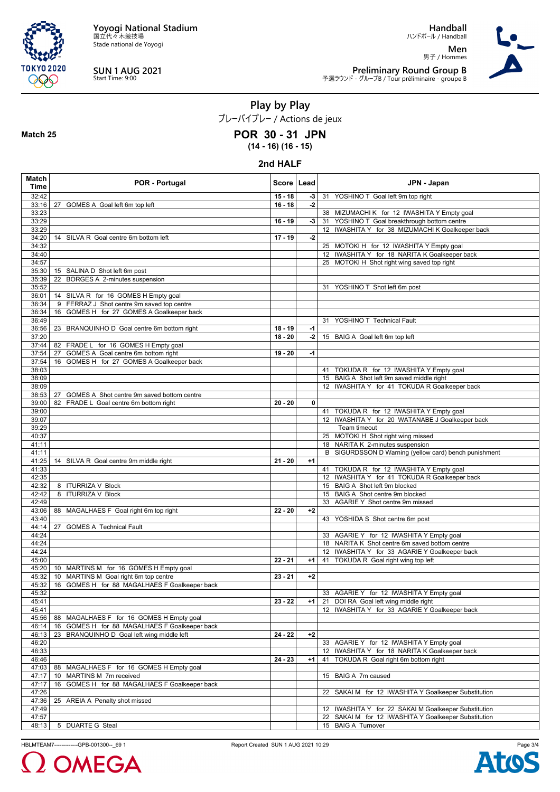

**Match 25**

Stade national de Yoyogi

**SUN 1 AUG 2021** Start Time: 9:00

**Handball** ハンドボール / Handball

**Men** 男子 / Hommes



**Preliminary Round Group B**<br>予選ラウンド - グループB / Tour préliminaire - groupe B

**Play by Play**

プレーバイプレー / Actions de jeux

### **POR 30 - 31 JPN**

**(14 - 16) (16 - 15)**

#### **2nd HALF**

| Match<br>Time  | <b>POR - Portugal</b>                                             | Score   Lead |      | JPN - Japan                                                                                                  |
|----------------|-------------------------------------------------------------------|--------------|------|--------------------------------------------------------------------------------------------------------------|
| 32:42          |                                                                   | $15 - 18$    | $-3$ | 31<br>YOSHINO T Goal left 9m top right                                                                       |
| 33:16          | 27 GOMES A Goal left 6m top left                                  | $16 - 18$    | $-2$ |                                                                                                              |
| 33:23          |                                                                   |              |      | 38 MIZUMACHI K for 12 IWASHITA Y Empty goal                                                                  |
| 33:29          |                                                                   | $16 - 19$    | -3   | 31 YOSHINO T Goal breakthrough bottom centre                                                                 |
| 33:29          |                                                                   |              |      | 12 IWASHITA Y for 38 MIZUMACHI K Goalkeeper back                                                             |
| 34:20          | 14 SILVA R Goal centre 6m bottom left                             | $17 - 19$    | $-2$ |                                                                                                              |
| 34:32          |                                                                   |              |      | 25 MOTOKI H for 12 IWASHITA Y Empty goal                                                                     |
| 34:40          |                                                                   |              |      | 12 IWASHITA Y for 18 NARITA K Goalkeeper back                                                                |
| 34:57          |                                                                   |              |      | 25 MOTOKI H Shot right wing saved top right                                                                  |
| 35:30<br>35:39 | 15 SALINA D Shot left 6m post<br>22 BORGES A 2-minutes suspension |              |      |                                                                                                              |
| 35:52          |                                                                   |              |      | 31 YOSHINO T Shot left 6m post                                                                               |
| 36:01          | 14 SILVA R for 16 GOMES H Empty goal                              |              |      |                                                                                                              |
| 36:34          | 9 FERRAZ J Shot centre 9m saved top centre                        |              |      |                                                                                                              |
| 36:34          | 16 GOMES H for 27 GOMES A Goalkeeper back                         |              |      |                                                                                                              |
| 36:49          |                                                                   |              |      | 31 YOSHINO T Technical Fault                                                                                 |
| 36:56          | 23 BRANQUINHO D Goal centre 6m bottom right                       | $18 - 19$    | -1   |                                                                                                              |
| 37:20          |                                                                   | $18 - 20$    | $-2$ | 15 BAIG A Goal left 6m top left                                                                              |
| 37:44          | 82 FRADE L for 16 GOMES H Empty goal                              |              |      |                                                                                                              |
| 37:54          | 27 GOMES A Goal centre 6m bottom right                            | $19 - 20$    | $-1$ |                                                                                                              |
| 37:54          | 16 GOMES H for 27 GOMES A Goalkeeper back                         |              |      |                                                                                                              |
| 38:03          |                                                                   |              |      | 41 TOKUDA R for 12 IWASHITA Y Empty goal                                                                     |
| 38:09          |                                                                   |              |      | 15 BAIG A Shot left 9m saved middle right<br>12 IWASHITA Y for 41 TOKUDA R Goalkeeper back                   |
| 38:09<br>38:53 | 27<br>GOMES A Shot centre 9m saved bottom centre                  |              |      |                                                                                                              |
| 39:00          | 82 FRADE L Goal centre 6m bottom right                            | $20 - 20$    | 0    |                                                                                                              |
| 39:00          |                                                                   |              |      | 41 TOKUDA R for 12 IWASHITA Y Empty goal                                                                     |
| 39:07          |                                                                   |              |      | 12 IWASHITA Y for 20 WATANABE J Goalkeeper back                                                              |
| 39:29          |                                                                   |              |      | Team timeout                                                                                                 |
| 40:37          |                                                                   |              |      | 25 MOTOKI H Shot right wing missed                                                                           |
| 41:11          |                                                                   |              |      | 18 NARITA K 2-minutes suspension                                                                             |
| 41:11          |                                                                   |              |      | B SIGURDSSON D Warning (yellow card) bench punishment                                                        |
| 41:25          | 14 SILVA R Goal centre 9m middle right                            | $21 - 20$    | $+1$ |                                                                                                              |
| 41:33          |                                                                   |              |      | 41 TOKUDA R for 12 IWASHITA Y Empty goal                                                                     |
| 42:35          |                                                                   |              |      | 12 IWASHITA Y for 41 TOKUDA R Goalkeeper back                                                                |
| 42:32          | 8 ITURRIZA V Block                                                |              |      | 15 BAIG A Shot left 9m blocked                                                                               |
| 42:42<br>42:49 | 8 ITURRIZA V Block                                                |              |      | 15 BAIG A Shot centre 9m blocked<br>33 AGARIE Y Shot centre 9m missed                                        |
| 43:06          | 88 MAGALHAES F Goal right 6m top right                            | $22 - 20$    | $+2$ |                                                                                                              |
| 43:40          |                                                                   |              |      | 43 YOSHIDA S Shot centre 6m post                                                                             |
| 44:14          | 27<br><b>GOMES A Technical Fault</b>                              |              |      |                                                                                                              |
| 44:24          |                                                                   |              |      | 33 AGARIE Y for 12 IWASHITA Y Empty goal                                                                     |
| 44:24          |                                                                   |              |      | 18 NARITA K Shot centre 6m saved bottom centre                                                               |
| 44:24          |                                                                   |              |      | 12 IWASHITA Y for 33 AGARIE Y Goalkeeper back                                                                |
| 45:00          |                                                                   | $22 - 21$    | $+1$ | 41 TOKUDA R Goal right wing top left                                                                         |
| 45:20          | 10 MARTINS M for 16 GOMES H Empty goal                            |              |      |                                                                                                              |
| 45:32          | 10 MARTINS M Goal right 6m top centre                             | $23 - 21$    | $+2$ |                                                                                                              |
| 45:32          | 16 GOMES H for 88 MAGALHAES F Goalkeeper back                     |              |      |                                                                                                              |
| 45:32<br>45:41 |                                                                   | $23 - 22$    | $+1$ | 33 AGARIE Y for 12 IWASHITA Y Empty goal<br>21 DOI RA Goal left wing middle right                            |
| 45:41          |                                                                   |              |      | 12 IWASHITA Y for 33 AGARIE Y Goalkeeper back                                                                |
| 45:56          | 88 MAGALHAES F for 16 GOMES H Empty goal                          |              |      |                                                                                                              |
| 46:14          | GOMES H for 88 MAGALHAES F Goalkeeper back<br>16                  |              |      |                                                                                                              |
| 46:13          | 23<br>BRANQUINHO D Goal left wing middle left                     | $24 - 22$    | $+2$ |                                                                                                              |
| 46:20          |                                                                   |              |      | 33 AGARIE Y for 12 IWASHITA Y Empty goal                                                                     |
| 46:33          |                                                                   |              |      | 12 IWASHITA Y for 18 NARITA K Goalkeeper back                                                                |
| 46:46          |                                                                   | 24 - 23      | $+1$ | TOKUDA R Goal right 6m bottom right<br>41                                                                    |
| 47:03          | 88 MAGALHAES F for 16 GOMES H Empty goal                          |              |      |                                                                                                              |
| 47:17          | 10 MARTINS M 7m received                                          |              |      | 15 BAIG A 7m caused                                                                                          |
| 47:17          | GOMES H for 88 MAGALHAES F Goalkeeper back<br>16                  |              |      |                                                                                                              |
| 47:26          |                                                                   |              |      | SAKAI M for 12 IWASHITA Y Goalkeeper Substitution<br>22                                                      |
| 47:36          | 25 AREIA A Penalty shot missed                                    |              |      |                                                                                                              |
| 47:49<br>47:57 |                                                                   |              |      | 12 IWASHITA Y for 22 SAKAI M Goalkeeper Substitution<br>22 SAKAI M for 12 IWASHITA Y Goalkeeper Substitution |
| 48:13          | 5 DUARTE G Steal                                                  |              |      | 15 BAIG A Turnover                                                                                           |

HBLMTEAM7-------------GPB-001300--\_69 1 Report Created SUN 1 AUG 2021 10:29